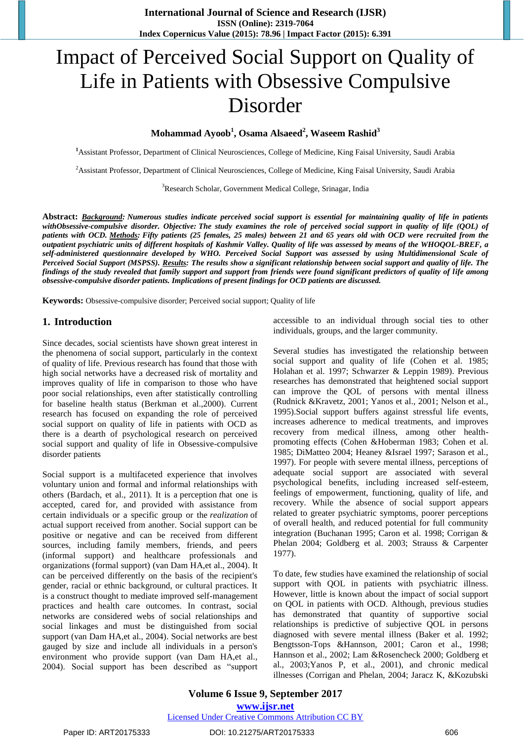**International Journal of Science and Research (IJSR) ISSN (Online): 2319-7064 Index Copernicus Value (2015): 78.96 | Impact Factor (2015): 6.391**

# Impact of Perceived Social Support on Quality of Life in Patients with Obsessive Compulsive Disorder

**Mohammad Ayoob<sup>1</sup> , Osama Alsaeed<sup>2</sup> , Waseem Rashid<sup>3</sup>**

**<sup>1</sup>**Assistant Professor, Department of Clinical Neurosciences, College of Medicine, King Faisal University, Saudi Arabia

<sup>2</sup>Assistant Professor, Department of Clinical Neurosciences, College of Medicine, King Faisal University, Saudi Arabia

<sup>3</sup>Research Scholar, Government Medical College, Srinagar, India

**Abstract:** *Background: Numerous studies indicate perceived social support is essential for maintaining quality of life in patients withObsessive-compulsive disorder. Objective: The study examines the role of perceived social support in quality of life (QOL) of patients with OCD. Methods: Fifty patients (25 females, 25 males) between 21 and 65 years old with OCD were recruited from the outpatient psychiatric units of different hospitals of Kashmir Valley. Quality of life was assessed by means of the WHOQOL-BREF, a self-administered questionnaire developed by WHO. Perceived Social Support was assessed by using Multidimensional Scale of Perceived Social Support (MSPSS). Results: The results show a significant relationship between social support and quality of life. The findings of the study revealed that family support and support from friends were found significant predictors of quality of life among obsessive-compulsive disorder patients. Implications of present findings for OCD patients are discussed.*

**Keywords:** Obsessive-compulsive disorder; Perceived social support; Quality of life

#### **1. Introduction**

Since decades, social scientists have shown great interest in the phenomena of social support, particularly in the context of quality of life. Previous research has found that those with high social networks have a decreased risk of mortality and improves quality of life in comparison to those who have poor social relationships, even after statistically controlling for baseline health status (Berkman et al.,2000). Current research has focused on expanding the role of perceived social support on quality of life in patients with OCD as there is a dearth of psychological research on perceived social support and quality of life in Obsessive-compulsive disorder patients

Social support is a multifaceted experience that involves voluntary union and formal and informal relationships with others (Bardach, et al., 2011). It is a perception *t*hat one is accepted, cared for, and provided with assistance from certain individuals or a specific group or the *realization* of actual support received from another. Social support can be positive or negative and can be received from different sources, including family members, friends, and peers (informal support) and healthcare professionals and organizations (formal support) (van Dam HA,et al., 2004). It can be perceived differently on the basis of the recipient's gender, racial or ethnic background, or cultural practices. It is a construct thought to mediate improved self-management practices and health care outcomes. In contrast, social networks are considered webs of social relationships and social linkages and must be distinguished from social support (van Dam HA,et al., 2004). Social networks are best gauged by size and include all individuals in a person's environment who provide support (van Dam HA,et al., 2004). Social support has been described as "support accessible to an individual through social ties to other individuals, groups, and the larger community.

Several studies has investigated the relationship between social support and quality of life (Cohen et al. 1985; Holahan et al. 1997; Schwarzer & Leppin 1989). Previous researches has demonstrated that heightened social support can improve the QOL of persons with mental illness (Rudnick &Kravetz, 2001; Yanos et al., 2001; Nelson et al., 1995).Social support buffers against stressful life events, increases adherence to medical treatments, and improves recovery from medical illness, among other healthpromoting effects (Cohen &Hoberman 1983; Cohen et al. 1985; DiMatteo 2004; Heaney &Israel 1997; Sarason et al., 1997). For people with severe mental illness, perceptions of adequate social support are associated with several psychological benefits, including increased self-esteem, feelings of empowerment, functioning, quality of life, and recovery. While the absence of social support appears related to greater psychiatric symptoms, poorer perceptions of overall health, and reduced potential for full community integration (Buchanan 1995; Caron et al. 1998; Corrigan & Phelan 2004; Goldberg et al. 2003; Strauss & Carpenter 1977).

To date, few studies have examined the relationship of social support with QOL in patients with psychiatric illness. However, little is known about the impact of social support on QOL in patients with OCD. Although, previous studies has demonstrated that quantity of supportive social relationships is predictive of subjective QOL in persons diagnosed with severe mental illness (Baker et al. 1992; Bengtsson-Tops &Hannson, 2001; Caron et al., 1998; Hannson et al., 2002; Lam &Rosencheck 2000; Goldberg et al., 2003;Yanos P, et al., 2001), and chronic medical illnesses (Corrigan and Phelan, 2004; Jaracz K, &Kozubski

**Volume 6 Issue 9, September 2017 <www.ijsr.net>** [Licensed Under Creative Commons Attribution CC BY](http://creativecommons.org/licenses/by/4.0/)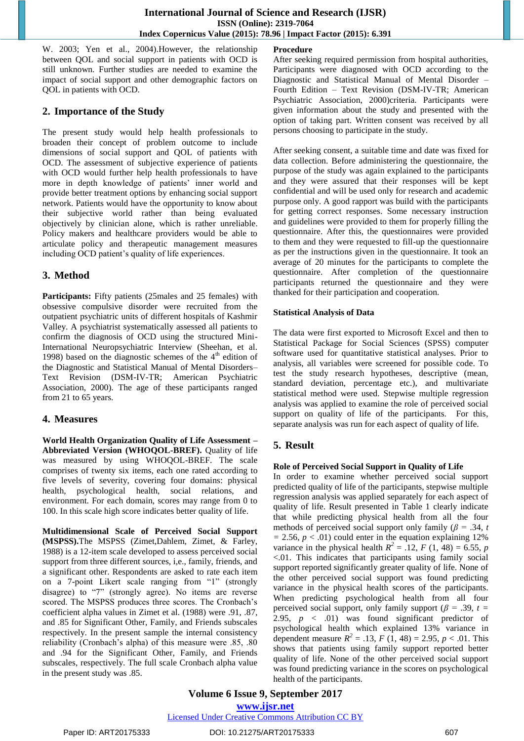W. 2003; Yen et al., 2004).However, the relationship between QOL and social support in patients with OCD is still unknown. Further studies are needed to examine the impact of social support and other demographic factors on QOL in patients with OCD.

## **2. Importance of the Study**

The present study would help health professionals to broaden their concept of problem outcome to include dimensions of social support and QOL of patients with OCD. The assessment of subjective experience of patients with OCD would further help health professionals to have more in depth knowledge of patients' inner world and provide better treatment options by enhancing social support network. Patients would have the opportunity to know about their subjective world rather than being evaluated objectively by clinician alone, which is rather unreliable. Policy makers and healthcare providers would be able to articulate policy and therapeutic management measures including OCD patient's quality of life experiences.

# **3. Method**

Participants: Fifty patients (25males and 25 females) with obsessive compulsive disorder were recruited from the outpatient psychiatric units of different hospitals of Kashmir Valley. A psychiatrist systematically assessed all patients to confirm the diagnosis of OCD using the structured Mini-International Neuropsychiatric Interview (Sheehan, et al. 1998) based on the diagnostic schemes of the  $4<sup>th</sup>$  edition of the Diagnostic and Statistical Manual of Mental Disorders– Text Revision (DSM-IV-TR; American Psychiatric Association, 2000). The age of these participants ranged from 21 to 65 years.

# **4. Measures**

**World Health Organization Quality of Life Assessment – Abbreviated Version (WHOQOL-BREF).** Quality of life was measured by using WHOQOL-BREF. The scale comprises of twenty six items, each one rated according to five levels of severity, covering four domains: physical health, psychological health, social relations, and environment. For each domain, scores may range from 0 to 100. In this scale high score indicates better quality of life.

**Multidimensional Scale of Perceived Social Support (MSPSS).**The MSPSS (Zimet,Dahlem, Zimet, & Farley, 1988) is a 12-item scale developed to assess perceived social support from three different sources, i,e., family, friends, and a significant other. Respondents are asked to rate each item on a 7-point Likert scale ranging from "1" (strongly disagree) to "7" (strongly agree). No items are reverse scored. The MSPSS produces three scores. The Cronbach's coefficient alpha values in Zimet et al. (1988) were .91, .87, and .85 for Significant Other, Family, and Friends subscales respectively. In the present sample the internal consistency reliability (Cronbach's alpha) of this measure were .85, .80 and .94 for the Significant Other, Family, and Friends subscales, respectively. The full scale Cronbach alpha value in the present study was .85.

#### **Procedure**

After seeking required permission from hospital authorities, Participants were diagnosed with OCD according to the Diagnostic and Statistical Manual of Mental Disorder – Fourth Edition – Text Revision (DSM-IV-TR; American Psychiatric Association, 2000)criteria. Participants were given information about the study and presented with the option of taking part. Written consent was received by all persons choosing to participate in the study.

After seeking consent, a suitable time and date was fixed for data collection. Before administering the questionnaire, the purpose of the study was again explained to the participants and they were assured that their responses will be kept confidential and will be used only for research and academic purpose only. A good rapport was build with the participants for getting correct responses. Some necessary instruction and guidelines were provided to them for properly filling the questionnaire. After this, the questionnaires were provided to them and they were requested to fill-up the questionnaire as per the instructions given in the questionnaire. It took an average of 20 minutes for the participants to complete the questionnaire. After completion of the questionnaire participants returned the questionnaire and they were thanked for their participation and cooperation.

#### **Statistical Analysis of Data**

The data were first exported to Microsoft Excel and then to Statistical Package for Social Sciences (SPSS) computer software used for quantitative statistical analyses. Prior to analysis, all variables were screened for possible code. To test the study research hypotheses, descriptive (mean, standard deviation, percentage etc.), and multivariate statistical method were used. Stepwise multiple regression analysis was applied to examine the role of perceived social support on quality of life of the participants. For this, separate analysis was run for each aspect of quality of life.

# **5. Result**

## **Role of Perceived Social Support in Quality of Life**

In order to examine whether perceived social support predicted quality of life of the participants, stepwise multiple regression analysis was applied separately for each aspect of quality of life. Result presented in Table 1 clearly indicate that while predicting physical health from all the four methods of perceived social support only family ( $\beta$  = .34, *t*  $= 2.56, p < .01$  could enter in the equation explaining 12% variance in the physical health  $R^2 = .12$ ,  $F(1, 48) = 6.55$ ,  $p$ <.01. This indicates that participants using family social support reported significantly greater quality of life. None of the other perceived social support was found predicting variance in the physical health scores of the participants. When predicting psychological health from all four perceived social support, only family support ( $\beta$  = .39, *t* = 2.95,  $p \lt 0.01$  was found significant predictor of psychological health which explained 13% variance in dependent measure  $R^2 = .13$ ,  $F(1, 48) = 2.95$ ,  $p < .01$ . This shows that patients using family support reported better quality of life. None of the other perceived social support was found predicting variance in the scores on psychological health of the participants.

**Volume 6 Issue 9, September 2017 <www.ijsr.net>** [Licensed Under Creative Commons Attribution CC BY](http://creativecommons.org/licenses/by/4.0/)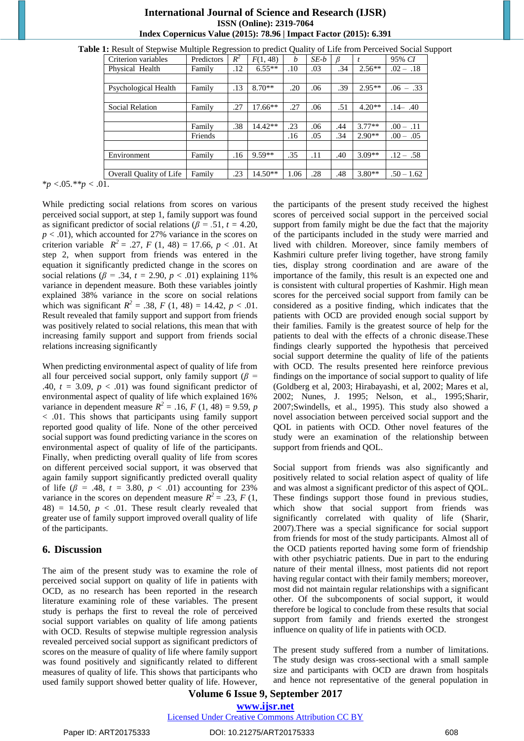| Table 1: Result of Stepwise Multiple Regression to predict Quality of Life from Perceived Social Support |            |       |           |                  |        |     |          |              |  |
|----------------------------------------------------------------------------------------------------------|------------|-------|-----------|------------------|--------|-----|----------|--------------|--|
| Criterion variables                                                                                      | Predictors | $R^2$ | F(1, 48)  | $\boldsymbol{b}$ | $SE-b$ |     |          | 95% CI       |  |
| Physical Health                                                                                          | Family     | .12   | $6.55**$  | .10              | .03    | .34 | $2.56**$ | $.02 - .18$  |  |
| Psychological Health                                                                                     | Family     | .13   | $8.70**$  | .20              | .06    | .39 | $2.95**$ | $.06 - .33$  |  |
| <b>Social Relation</b>                                                                                   | Family     | .27   | $17.66**$ | .27              | .06    | .51 | $4.20**$ | $.14 - .40$  |  |
|                                                                                                          | Family     | .38   | $14.42**$ | .23              | .06    | .44 | $3.77**$ | $.00 - .11$  |  |
|                                                                                                          | Friends    |       |           | .16              | .05    | .34 | $2.90**$ | $.00 - .05$  |  |
| Environment                                                                                              | Family     | .16   | $9.59**$  | .35              | .11    | .40 | $3.09**$ | $.12 - .58$  |  |
| Overall Quality of Life                                                                                  | Family     | .23   | $14.50**$ | 1.06             | .28    | .48 | $3.80**$ | $.50 - 1.62$ |  |

#### **International Journal of Science and Research (IJSR) ISSN (Online): 2319-7064 Index Copernicus Value (2015): 78.96 | Impact Factor (2015): 6.391**

\**p <*.05.*\*\*p <* .01.

While predicting social relations from scores on various perceived social support, at step 1, family support was found as significant predictor of social relations ( $\beta$  = .51, *t* = 4.20, *p* < .01), which accounted for 27% variance in the scores on criterion variable  $R^2 = .27$ ,  $F(1, 48) = 17.66$ ,  $p < .01$ . At step 2, when support from friends was entered in the equation it significantly predicted change in the scores on social relations ( $\beta$  = .34,  $t$  = 2.90,  $p < .01$ ) explaining 11% variance in dependent measure. Both these variables jointly explained 38% variance in the score on social relations which was significant  $R^2 = .38$ ,  $F(1, 48) = 14.42$ ,  $p < .01$ . Result revealed that family support and support from friends was positively related to social relations, this mean that with increasing family support and support from friends social relations increasing significantly

When predicting environmental aspect of quality of life from all four perceived social support, only family support (*β =*  .40,  $t = 3.09$ ,  $p < .01$ ) was found significant predictor of environmental aspect of quality of life which explained 16% variance in dependent measure  $R^2 = .16$ , *F* (1, 48) = 9.59, *p* < .01. This shows that participants using family support reported good quality of life. None of the other perceived social support was found predicting variance in the scores on environmental aspect of quality of life of the participants. Finally, when predicting overall quality of life from scores on different perceived social support, it was observed that again family support significantly predicted overall quality of life ( $\beta$  = .48,  $t = 3.80, p < .01$ ) accounting for 23% variance in the scores on dependent measure  $R^2 = .23$ , *F* (1,  $48$ ) = 14.50,  $p < .01$ . These result clearly revealed that greater use of family support improved overall quality of life of the participants.

## **6. Discussion**

The aim of the present study was to examine the role of perceived social support on quality of life in patients with OCD, as no research has been reported in the research literature examining role of these variables. The present study is perhaps the first to reveal the role of perceived social support variables on quality of life among patients with OCD. Results of stepwise multiple regression analysis revealed perceived social support as significant predictors of scores on the measure of quality of life where family support was found positively and significantly related to different measures of quality of life. This shows that participants who used family support showed better quality of life. However,

the participants of the present study received the highest scores of perceived social support in the perceived social support from family might be due the fact that the majority of the participants included in the study were married and lived with children. Moreover, since family members of Kashmiri culture prefer living together, have strong family ties, display strong coordination and are aware of the importance of the family, this result is an expected one and is consistent with cultural properties of Kashmir. High mean scores for the perceived social support from family can be considered as a positive finding, which indicates that the patients with OCD are provided enough social support by their families. Family is the greatest source of help for the patients to deal with the effects of a chronic disease.These findings clearly supported the hypothesis that perceived social support determine the quality of life of the patients with OCD. The results presented here reinforce previous findings on the importance of social support to quality of life (Goldberg et al, 2003; Hirabayashi, et al, 2002; Mares et al, 2002; Nunes, J. 1995; Nelson, et al., 1995;Sharir, 2007;Swindells, et al., 1995). This study also showed a novel association between perceived social support and the QOL in patients with OCD. Other novel features of the study were an examination of the relationship between support from friends and QOL.

Social support from friends was also significantly and positively related to social relation aspect of quality of life and was almost a significant predictor of this aspect of QOL. These findings support those found in previous studies, which show that social support from friends was significantly correlated with quality of life (Sharir, 2007).There was a special significance for social support from friends for most of the study participants. Almost all of the OCD patients reported having some form of friendship with other psychiatric patients. Due in part to the enduring nature of their mental illness, most patients did not report having regular contact with their family members; moreover, most did not maintain regular relationships with a significant other. Of the subcomponents of social support, it would therefore be logical to conclude from these results that social support from family and friends exerted the strongest influence on quality of life in patients with OCD.

The present study suffered from a number of limitations. The study design was cross-sectional with a small sample size and participants with OCD are drawn from hospitals and hence not representative of the general population in

## **Volume 6 Issue 9, September 2017 <www.ijsr.net>**

[Licensed Under Creative Commons Attribution CC BY](http://creativecommons.org/licenses/by/4.0/)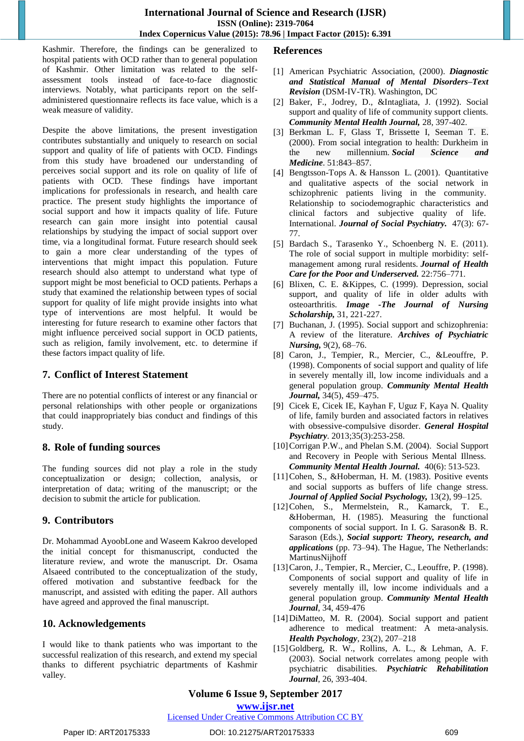Kashmir. Therefore, the findings can be generalized to hospital patients with OCD rather than to general population of Kashmir. Other limitation was related to the selfassessment tools instead of face-to-face diagnostic interviews. Notably, what participants report on the selfadministered questionnaire reflects its face value, which is a weak measure of validity.

Despite the above limitations, the present investigation contributes substantially and uniquely to research on social support and quality of life of patients with OCD. Findings from this study have broadened our understanding of perceives social support and its role on quality of life of patients with OCD. These findings have important implications for professionals in research, and health care practice. The present study highlights the importance of social support and how it impacts quality of life. Future research can gain more insight into potential causal relationships by studying the impact of social support over time, via a longitudinal format. Future research should seek to gain a more clear understanding of the types of interventions that might impact this population. Future research should also attempt to understand what type of support might be most beneficial to OCD patients. Perhaps a study that examined the relationship between types of social support for quality of life might provide insights into what type of interventions are most helpful. It would be interesting for future research to examine other factors that might influence perceived social support in OCD patients, such as religion, family involvement, etc. to determine if these factors impact quality of life.

#### **7. Conflict of Interest Statement**

There are no potential conflicts of interest or any financial or personal relationships with other people or organizations that could inappropriately bias conduct and findings of this study.

## **8. Role of funding sources**

The funding sources did not play a role in the study conceptualization or design; collection, analysis, or interpretation of data; writing of the manuscript; or the decision to submit the article for publication.

## **9. Contributors**

Dr. Mohammad AyoobLone and Waseem Kakroo developed the initial concept for thismanuscript, conducted the literature review, and wrote the manuscript. Dr. Osama Alsaeed contributed to the conceptualization of the study, offered motivation and substantive feedback for the manuscript, and assisted with editing the paper. All authors have agreed and approved the final manuscript.

## **10. Acknowledgements**

I would like to thank patients who was important to the successful realization of this research, and extend my special thanks to different psychiatric departments of Kashmir valley.

## **References**

- [1] American Psychiatric Association, (2000). *Diagnostic and Statistical Manual of Mental Disorders–Text Revision* (DSM-IV-TR). Washington, DC
- [2] Baker, F., Jodrey, D., &Intagliata, J. (1992). Social support and quality of life of community support clients. *Community Mental Health Journal,* 28, 397-402.
- [3] Berkman L. F, Glass T, Brissette I, Seeman T. E. (2000). From social integration to health: Durkheim in the new millennium. *Social Science Medicine*. 51:843–857.
- [4] Bengtsson-Tops A. & Hansson L. (2001). Quantitative and qualitative aspects of the social network in schizophrenic patients living in the community. Relationship to sociodemographic characteristics and clinical factors and subjective quality of life. International. *Journal of Social Psychiatry.* 47(3): 67- 77.
- [5] Bardach S., Tarasenko Y., Schoenberg N. E. (2011). The role of social support in multiple morbidity: selfmanagement among rural residents. *Journal of Health Care for the Poor and Underserved.* 22:756–771.
- [6] Blixen, C. E. &Kippes, C. (1999). Depression, social support, and quality of life in older adults with osteoarthritis. *Image -The Journal of Nursing Scholarship,* 31, 221-227.
- [7] Buchanan, J. (1995). Social support and schizophrenia: A review of the literature. *Archives of Psychiatric Nursing,* 9(2), 68–76.
- [8] Caron, J., Tempier, R., Mercier, C., &Leouffre, P. (1998). Components of social support and quality of life in severely mentally ill, low income individuals and a general population group. *Community Mental Health Journal,* 34(5), 459–475.
- [9] Cicek E, Cicek IE, Kayhan F, Uguz F, Kaya N. Quality of life, family burden and associated factors in relatives with obsessive-compulsive disorder. *General Hospital Psychiatry*. 2013;35(3):253-258.
- [10] Corrigan P.W., and Phelan S.M. (2004). Social Support and Recovery in People with Serious Mental Illness. *Community Mental Health Journal.* 40(6): 513-523.
- [11]Cohen, S., &Hoberman, H. M. (1983). Positive events and social supports as buffers of life change stress. *Journal of Applied Social Psychology,* 13(2), 99–125.
- [12]Cohen, S., Mermelstein, R., Kamarck, T. E., &Hoberman, H. (1985). Measuring the functional components of social support. In I. G. Sarason& B. R. Sarason (Eds.), *Social support: Theory, research, and applications* (pp. 73–94). The Hague, The Netherlands: MartinusNijhoff
- [13] Caron, J., Tempier, R., Mercier, C., Leouffre, P. (1998). Components of social support and quality of life in severely mentally ill, low income individuals and a general population group. *Community Mental Health Journal*, 34, 459-476
- [14]DiMatteo, M. R. (2004). Social support and patient adherence to medical treatment: A meta-analysis. *Health Psychology*, 23(2), 207–218
- [15]Goldberg, R. W., Rollins, A. L., & Lehman, A. F. (2003). Social network correlates among people with psychiatric disabilities. *Psychiatric Rehabilitation Journal*, 26, 393-404.

# **Volume 6 Issue 9, September 2017**

**<www.ijsr.net>**

[Licensed Under Creative Commons Attribution CC BY](http://creativecommons.org/licenses/by/4.0/)